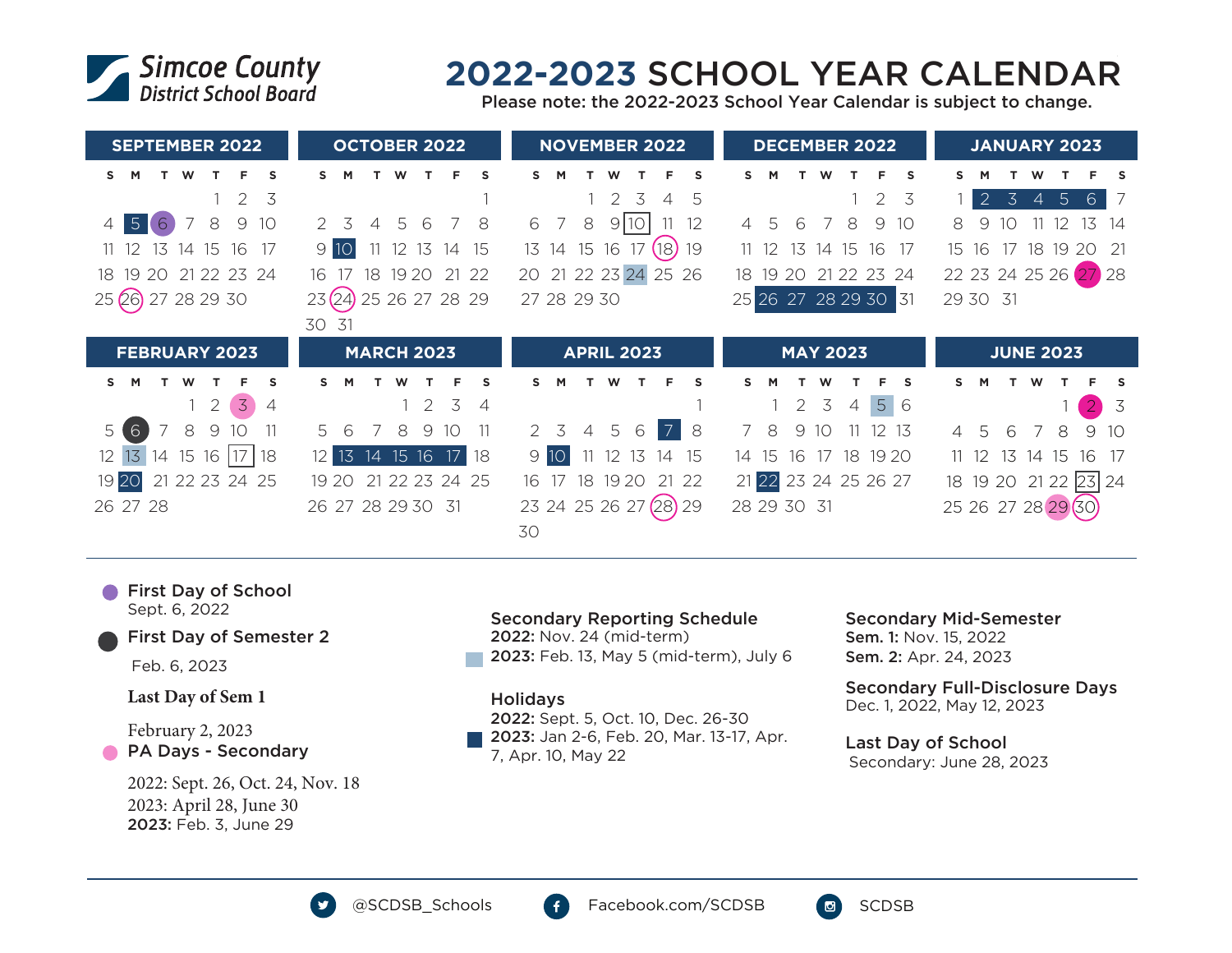

# **2022-2023** SCHOOL YEAR CALENDAR

Please note: the 2022-2023 School Year Calendar is subject to change.

| <b>SEPTEMBER 2022</b>                              | <b>OCTOBER 2022</b>                  | <b>NOVEMBER 2022</b>                        | <b>DECEMBER 2022</b>                      | <b>JANUARY 2023</b>                                                           |
|----------------------------------------------------|--------------------------------------|---------------------------------------------|-------------------------------------------|-------------------------------------------------------------------------------|
| S<br>S.<br>м<br>W                                  | s<br>s.<br>M<br>W<br>F.              | Е<br>s                                      | s<br>M<br>W<br>s                          | <b>S</b>                                                                      |
| 3<br>2                                             |                                      | 2<br>3<br>5<br>$\overline{4}$               | $1\quad 2$<br>3                           | $\overline{2}$<br>3<br>5 <sup>1</sup><br>$6^{\circ}$<br>- 7<br>$\overline{4}$ |
| 5 <sup>1</sup><br>6<br>7<br>8<br>9<br>10<br>4      | 6<br>8<br>5<br>2 3                   | 9 10 <br>8<br>12<br>6                       | 8<br>9<br>6<br>10<br>$\overline{4}$<br>-5 | 13<br>14<br>8<br>9<br>10                                                      |
| - 12<br>13<br>14 15<br>16<br>- 17                  | 12 13 14 15<br>9 10<br>11            | $(18)$ 19<br>13 14 15 16 17                 | 13<br>16<br>$11 \t12$<br>15<br>- 17<br>14 | 18<br>-17<br>19<br>20<br>- 21<br>16<br>15                                     |
| 19 20 21 22 23 24<br>18                            | 18 19 20 21 22<br>16                 | 20 21 22 23 24 25 26                        | 18 19 20 21 22 23 24                      | 22 23 24 25 26 27 28                                                          |
| 25 26 27 28 29 30                                  | 23(24)<br>25 26 27 28 29             | 27 28 29 30                                 | 25 26 27 28 29 30 31                      | 29 30 31                                                                      |
|                                                    | 30 31                                |                                             |                                           |                                                                               |
|                                                    |                                      |                                             |                                           |                                                                               |
| <b>FEBRUARY 2023</b>                               | <b>MARCH 2023</b>                    | <b>APRIL 2023</b>                           | <b>MAY 2023</b>                           | <b>JUNE 2023</b>                                                              |
| s.<br>M<br>W<br>s                                  | Е<br>S<br>S.<br>W                    | Е<br>s<br>s                                 | s<br>s                                    | <b>S</b><br>W<br>s                                                            |
| $\overline{3}$<br>$\overline{2}$<br>$\overline{4}$ | 2 3<br>$\overline{4}$                |                                             | 5 6<br>2 <sub>3</sub><br>$\overline{4}$   | $\overline{3}$<br>$\overline{2}$                                              |
| 6<br>8<br>9<br>11<br>5 <sup>1</sup><br>10          | 9<br>10<br>.5<br>8<br>-11            | $\overline{7}$<br>.5<br>2 3<br>4<br>6<br>-8 | $7^{\circ}$<br>8<br>9<br>12 13<br>10      | 9<br>10<br>6<br>$\overline{7}$<br>8<br>5                                      |
| 14 15 16<br>12 <sup>°</sup><br>13<br>18            | 13 14 15 16 17 18<br>12 <sup>2</sup> | 9 10<br>12 13<br>15<br>14                   | 16<br>17 18 19 20<br>14 15                | 13<br>16<br>- 17<br>$11 \t12$<br>14 15                                        |
| 21 22 23 24 25<br>19 20                            | 19 20 21 22 23 24 25                 | 19 20<br>18<br>21 22<br>16<br>-17           | 21 22 23 24 25 26 27                      | 18 19 20 21 22 23 24                                                          |
| 26 27 28                                           | 26 27 28 29 30 31                    | (28)29<br>23 24 25 26 27                    | 28 29 30 31                               | 25 26 27 28 29 (30)                                                           |

**First Day of School** Sept. 6, 2022

### First Day of Semester 2

Feb. 6, 2023

### **Last Day of Sem 1**

February 2, 2023 **PA Days - Secondary** 

> 2022: Sept. 26, Oct. 24, Nov. 18 2023: April 28, June 30 2023: Feb. 3, June 29

#### Secondary Reporting Schedule

2022: Nov. 24 (mid-term)

2023: Feb. 13, May 5 (mid-term), July 6

#### Holidays

2022: Sept. 5, Oct. 10, Dec. 26-30 2023: Jan 2-6, Feb. 20, Mar. 13-17, Apr. 7, Apr. 10, May 22

## Secondary Mid-Semester

Sem. 1: Nov. 15, 2022 Sem. 2: Apr. 24, 2023

#### Secondary Full-Disclosure Days Dec. 1, 2022, May 12, 2023

Last Day of School

Secondary: June 28, 2023